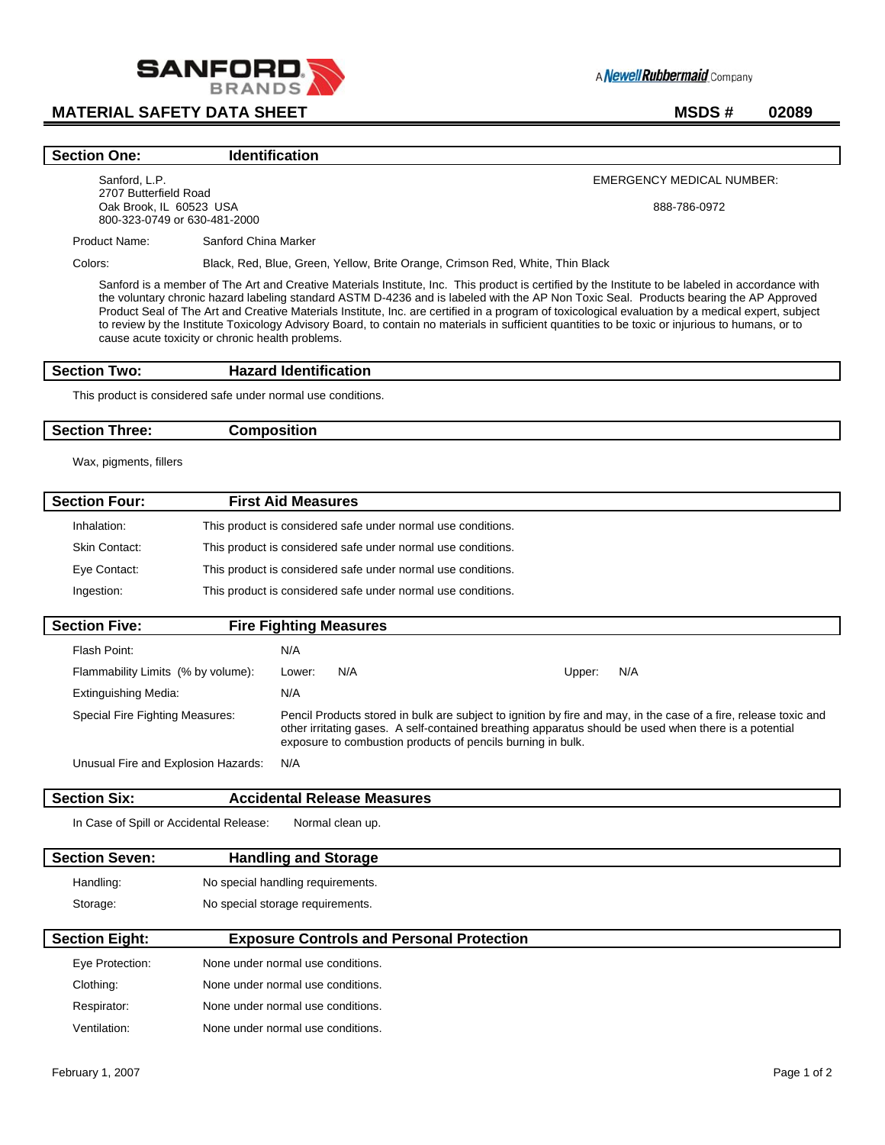

# **MATERIAL SAFETY DATA SHEET AND REACT ASSESSED AT A REACT OF MSDS # 02089**

A **Newell Rubbermaid** Company

EMERGENCY MEDICAL NUMBER: 888-786-0972

#### **Section One:** Identification

Sanford, L.P. 2707 Butterfield Road Oak Brook, IL 60523 USA 800-323-0749 or 630-481-2000

Product Name: Sanford China Marker

Colors: Black, Red, Blue, Green, Yellow, Brite Orange, Crimson Red, White, Thin Black

Sanford is a member of The Art and Creative Materials Institute, Inc. This product is certified by the Institute to be labeled in accordance with the voluntary chronic hazard labeling standard ASTM D-4236 and is labeled with the AP Non Toxic Seal. Products bearing the AP Approved Product Seal of The Art and Creative Materials Institute, Inc. are certified in a program of toxicological evaluation by a medical expert, subject to review by the Institute Toxicology Advisory Board, to contain no materials in sufficient quantities to be toxic or injurious to humans, or to cause acute toxicity or chronic health problems.

## **Section Two: Hazard Identification**

This product is considered safe under normal use conditions.

Ventilation: None under normal use conditions.

#### **Section Three: Composition**

 $\overline{\phantom{a}}$ 

Wax, pigments, fillers

| <b>Section Four:</b> | <b>First Aid Measures</b>                                    |
|----------------------|--------------------------------------------------------------|
| Inhalation:          | This product is considered safe under normal use conditions. |
| Skin Contact:        | This product is considered safe under normal use conditions. |
| Eye Contact:         | This product is considered safe under normal use conditions. |
| Ingestion:           | This product is considered safe under normal use conditions. |

| <b>Section Five:</b>                | <b>Fire Fighting Measures</b> |                                                                                                                                                                                                                                                                                          |  |
|-------------------------------------|-------------------------------|------------------------------------------------------------------------------------------------------------------------------------------------------------------------------------------------------------------------------------------------------------------------------------------|--|
| Flash Point:                        | N/A                           |                                                                                                                                                                                                                                                                                          |  |
| Flammability Limits (% by volume):  | N/A<br>Lower:                 | N/A<br>Upper:                                                                                                                                                                                                                                                                            |  |
| Extinguishing Media:                | N/A                           |                                                                                                                                                                                                                                                                                          |  |
| Special Fire Fighting Measures:     |                               | Pencil Products stored in bulk are subject to ignition by fire and may, in the case of a fire, release toxic and<br>other irritating gases. A self-contained breathing apparatus should be used when there is a potential<br>exposure to combustion products of pencils burning in bulk. |  |
| Unusual Fire and Explosion Hazards: | N/A                           |                                                                                                                                                                                                                                                                                          |  |

| <b>Section Six:</b>                     | <b>Accidental Release Measures</b>               |
|-----------------------------------------|--------------------------------------------------|
| In Case of Spill or Accidental Release: | Normal clean up.                                 |
| <b>Section Seven:</b>                   | <b>Handling and Storage</b>                      |
| Handling:                               | No special handling requirements.                |
| Storage:                                | No special storage requirements.                 |
| <b>Section Eight:</b>                   | <b>Exposure Controls and Personal Protection</b> |
| Eye Protection:                         | None under normal use conditions.                |
| Clothing:                               | None under normal use conditions.                |
| Respirator:                             | None under normal use conditions.                |